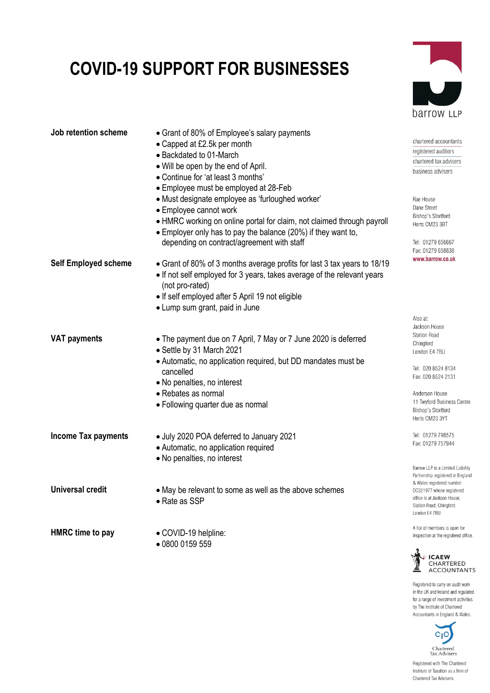## **COVID-19 SUPPORT FOR BUSINESSES**



Registered to carry on audit work in the UK and Ireland and regulated for a range of investment activities by The Institute of Chartered Accountants in England & Wales.



Registered with The Chartered Institute of Taxation as a firm of Chartered Tax Advisers